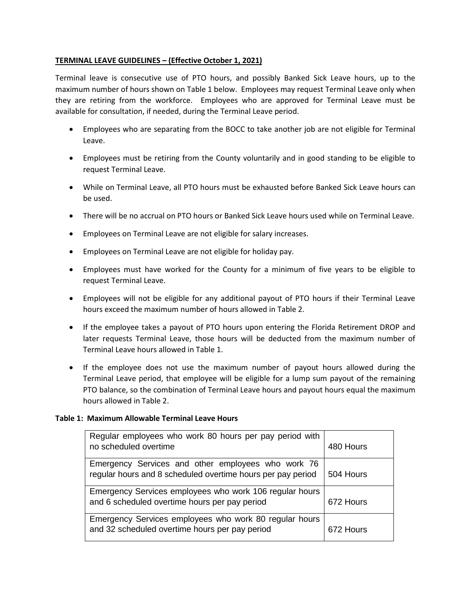## **TERMINAL LEAVE GUIDELINES – (Effective October 1, 2021)**

Terminal leave is consecutive use of PTO hours, and possibly Banked Sick Leave hours, up to the maximum number of hours shown on Table 1 below. Employees may request Terminal Leave only when they are retiring from the workforce. Employees who are approved for Terminal Leave must be available for consultation, if needed, during the Terminal Leave period.

- Employees who are separating from the BOCC to take another job are not eligible for Terminal Leave.
- Employees must be retiring from the County voluntarily and in good standing to be eligible to request Terminal Leave.
- While on Terminal Leave, all PTO hours must be exhausted before Banked Sick Leave hours can be used.
- There will be no accrual on PTO hours or Banked Sick Leave hours used while on Terminal Leave.
- Employees on Terminal Leave are not eligible for salary increases.
- Employees on Terminal Leave are not eligible for holiday pay.
- Employees must have worked for the County for a minimum of five years to be eligible to request Terminal Leave.
- Employees will not be eligible for any additional payout of PTO hours if their Terminal Leave hours exceed the maximum number of hours allowed in Table 2.
- If the employee takes a payout of PTO hours upon entering the Florida Retirement DROP and later requests Terminal Leave, those hours will be deducted from the maximum number of Terminal Leave hours allowed in Table 1.
- If the employee does not use the maximum number of payout hours allowed during the Terminal Leave period, that employee will be eligible for a lump sum payout of the remaining PTO balance, so the combination of Terminal Leave hours and payout hours equal the maximum hours allowed in Table 2.

## **Table 1: Maximum Allowable Terminal Leave Hours**

| Regular employees who work 80 hours per pay period with<br>no scheduled overtime                                  | 480 Hours |
|-------------------------------------------------------------------------------------------------------------------|-----------|
| Emergency Services and other employees who work 76<br>regular hours and 8 scheduled overtime hours per pay period | 504 Hours |
| Emergency Services employees who work 106 regular hours<br>and 6 scheduled overtime hours per pay period          | 672 Hours |
| Emergency Services employees who work 80 regular hours<br>and 32 scheduled overtime hours per pay period          | 672 Hours |